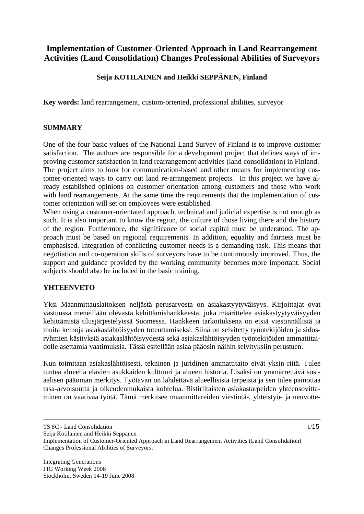# **Implementation of Customer-Oriented Approach in Land Rearrangement Activities (Land Consolidation) Changes Professional Abilities of Surveyors**

## **Seija KOTILAINEN and Heikki SEPPÄNEN, Finland**

**Key words:** land rearrangement, custom-oriented, professional abilities, surveyor

#### **SUMMARY**

One of the four basic values of the National Land Survey of Finland is to improve customer satisfaction. The authors are responsible for a development project that defines ways of improving customer satisfaction in land rearrangement activities (land consolidation) in Finland. The project aims to look for communication-based and other means for implementing customer-oriented ways to carry out land re-arrangement projects. In this project we have already established opinions on customer orientation among customers and those who work with land rearrangements. At the same time the requirements that the implementation of customer orientation will set on employees were established.

When using a customer-orientated approach, technical and judicial expertise is not enough as such. It is also important to know the region, the culture of those living there and the history of the region. Furthermore, the significance of social capital must be understood. The approach must be based on regional requirements. In addition, equality and fairness must be emphasised. Integration of conflicting customer needs is a demanding task. This means that negotiation and co-operation skills of surveyors have to be continuously improved. Thus, the support and guidance provided by the working community becomes more important. Social subjects should also be included in the basic training.

#### **YHTEENVETO**

Yksi Maanmittauslaitoksen neljästä perusarvosta on asiakastyytyväisyys. Kirjoittajat ovat vastuussa meneillään olevasta kehittämishankkeesta, joka määrittelee asiakastyytyväisyyden kehittämistä tilusjärjestelyissä Suomessa. Hankkeen tarkoituksena on etsiä viestinnällisiä ja muita keinoja asiakaslähtöisyyden toteuttamiseksi. Siinä on selvitetty työntekijöiden ja sidosryhmien käsityksiä asiakaslähtöisyydestä sekä asiakaslähtöisyyden työntekijöiden ammattitaidolle asettamia vaatimuksia. Tässä esitellään asiaa pääosin näihin selvityksiin perustuen.

Kun toimitaan asiakaslähtöisesti, tekninen ja juridinen ammattitaito eivät yksin riitä. Tulee tuntea alueella elävien asukkaiden kulttuuri ja alueen historia. Lisäksi on ymmärrettävä sosiaalisen pääoman merkitys. Työtavan on lähdettävä alueellisista tarpeista ja sen tulee painottaa tasa-arvoisuutta ja oikeudenmukaista kohtelua. Ristiriitaisten asiakastarpeiden yhteensovittaminen on vaativaa työtä. Tämä merkitsee maanmittareiden viestintä-, yhteistyö- ja neuvotte-

TS 8C - Land Consolidation

Seija Kotilainen and Heikki Seppänen

Implementation of Customer-Oriented Approach in Land Rearrangement Activities (Land Consolidation) Changes Professional Abilities of Surveyors.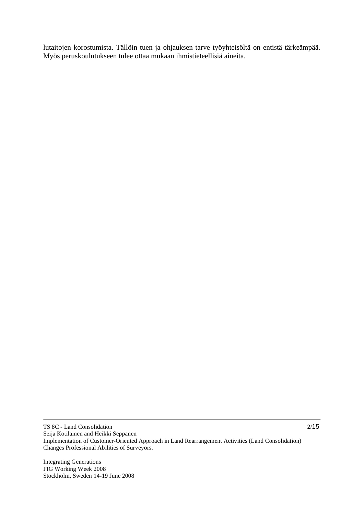lutaitojen korostumista. Tällöin tuen ja ohjauksen tarve työyhteisöltä on entistä tärkeämpää. Myös peruskoulutukseen tulee ottaa mukaan ihmistieteellisiä aineita.

Integrating Generations FIG Working Week 2008 Stockholm, Sweden 14-19 June 2008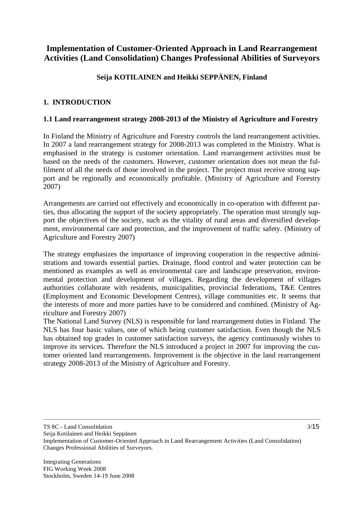# **Implementation of Customer-Oriented Approach in Land Rearrangement Activities (Land Consolidation) Changes Professional Abilities of Surveyors**

## **Seija KOTILAINEN and Heikki SEPPÄNEN, Finland**

## **1. INTRODUCTION**

### **1.1 Land rearrangement strategy 2008-2013 of the Ministry of Agriculture and Forestry**

In Finland the Ministry of Agriculture and Forestry controls the land rearrangement activities. In 2007 a land rearrangement strategy for 2008-2013 was completed in the Ministry. What is emphasised in the strategy is customer orientation. Land rearrangement activities must be based on the needs of the customers. However, customer orientation does not mean the fulfilment of all the needs of those involved in the project. The project must receive strong support and be regionally and economically profitable. (Ministry of Agriculture and Forestry 2007)

Arrangements are carried out effectively and economically in co-operation with different parties, thus allocating the support of the society appropriately. The operation must strongly support the objectives of the society, such as the vitality of rural areas and diversified development, environmental care and protection, and the improvement of traffic safety. (Ministry of Agriculture and Forestry 2007)

The strategy emphasizes the importance of improving cooperation in the respective administrations and towards essential parties. Drainage, flood control and water protection can be mentioned as examples as well as environmental care and landscape preservation, environmental protection and development of villages. Regarding the development of villages authorities collaborate with residents, municipalities, provincial federations, T&E Centres (Employment and Economic Development Centres), village communities etc. It seems that the interests of more and more parties have to be considered and combined. (Ministry of Agriculture and Forestry 2007)

The National Land Survey (NLS) is responsible for land rearrangement duties in Finland. The NLS has four basic values, one of which being customer satisfaction. Even though the NLS has obtained top grades in customer satisfaction surveys, the agency continuously wishes to improve its services. Therefore the NLS introduced a project in 2007 for improving the customer oriented land rearrangements. Improvement is the objective in the land rearrangement strategy 2008-2013 of the Ministry of Agriculture and Forestry.

TS 8C - Land Consolidation

Seija Kotilainen and Heikki Seppänen

Implementation of Customer-Oriented Approach in Land Rearrangement Activities (Land Consolidation) Changes Professional Abilities of Surveyors.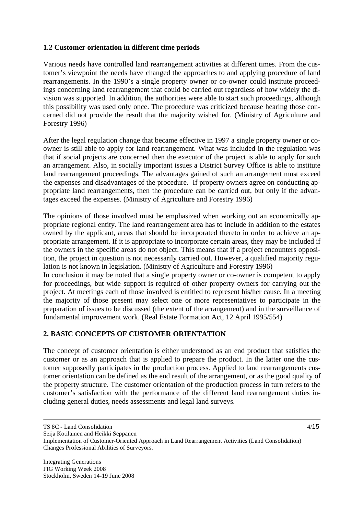#### **1.2 Customer orientation in different time periods**

Various needs have controlled land rearrangement activities at different times. From the customer's viewpoint the needs have changed the approaches to and applying procedure of land rearrangements. In the 1990's a single property owner or co-owner could institute proceedings concerning land rearrangement that could be carried out regardless of how widely the division was supported. In addition, the authorities were able to start such proceedings, although this possibility was used only once. The procedure was criticized because hearing those concerned did not provide the result that the majority wished for. (Ministry of Agriculture and Forestry 1996)

After the legal regulation change that became effective in 1997 a single property owner or coowner is still able to apply for land rearrangement. What was included in the regulation was that if social projects are concerned then the executor of the project is able to apply for such an arrangement. Also, in socially important issues a District Survey Office is able to institute land rearrangement proceedings. The advantages gained of such an arrangement must exceed the expenses and disadvantages of the procedure. If property owners agree on conducting appropriate land rearrangements, then the procedure can be carried out, but only if the advantages exceed the expenses. (Ministry of Agriculture and Forestry 1996)

The opinions of those involved must be emphasized when working out an economically appropriate regional entity. The land rearrangement area has to include in addition to the estates owned by the applicant, areas that should be incorporated thereto in order to achieve an appropriate arrangement. If it is appropriate to incorporate certain areas, they may be included if the owners in the specific areas do not object. This means that if a project encounters opposition, the project in question is not necessarily carried out. However, a qualified majority regulation is not known in legislation. (Ministry of Agriculture and Forestry 1996)

In conclusion it may be noted that a single property owner or co-owner is competent to apply for proceedings, but wide support is required of other property owners for carrying out the project. At meetings each of those involved is entitled to represent his/her cause. In a meeting the majority of those present may select one or more representatives to participate in the preparation of issues to be discussed (the extent of the arrangement) and in the surveillance of fundamental improvement work. (Real Estate Formation Act, 12 April 1995/554)

## **2. BASIC CONCEPTS OF CUSTOMER ORIENTATION**

The concept of customer orientation is either understood as an end product that satisfies the customer or as an approach that is applied to prepare the product. In the latter one the customer supposedly participates in the production process. Applied to land rearrangements customer orientation can be defined as the end result of the arrangement, or as the good quality of the property structure. The customer orientation of the production process in turn refers to the customer's satisfaction with the performance of the different land rearrangement duties including general duties, needs assessments and legal land surveys.

TS 8C - Land Consolidation

Seija Kotilainen and Heikki Seppänen

Implementation of Customer-Oriented Approach in Land Rearrangement Activities (Land Consolidation) Changes Professional Abilities of Surveyors.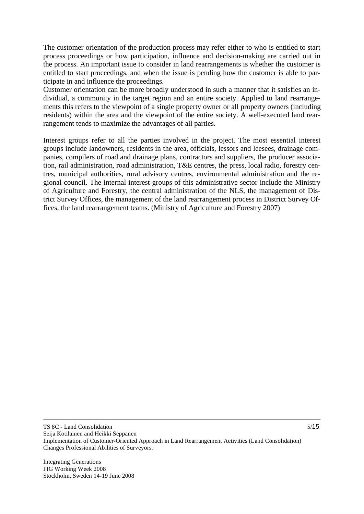The customer orientation of the production process may refer either to who is entitled to start process proceedings or how participation, influence and decision-making are carried out in the process. An important issue to consider in land rearrangements is whether the customer is entitled to start proceedings, and when the issue is pending how the customer is able to participate in and influence the proceedings.

Customer orientation can be more broadly understood in such a manner that it satisfies an individual, a community in the target region and an entire society. Applied to land rearrangements this refers to the viewpoint of a single property owner or all property owners (including residents) within the area and the viewpoint of the entire society. A well-executed land rearrangement tends to maximize the advantages of all parties.

Interest groups refer to all the parties involved in the project. The most essential interest groups include landowners, residents in the area, officials, lessors and leesees, drainage companies, compilers of road and drainage plans, contractors and suppliers, the producer association, rail administration, road administration, T&E centres, the press, local radio, forestry centres, municipal authorities, rural advisory centres, environmental administration and the regional council. The internal interest groups of this administrative sector include the Ministry of Agriculture and Forestry, the central administration of the NLS, the management of District Survey Offices, the management of the land rearrangement process in District Survey Offices, the land rearrangement teams. (Ministry of Agriculture and Forestry 2007)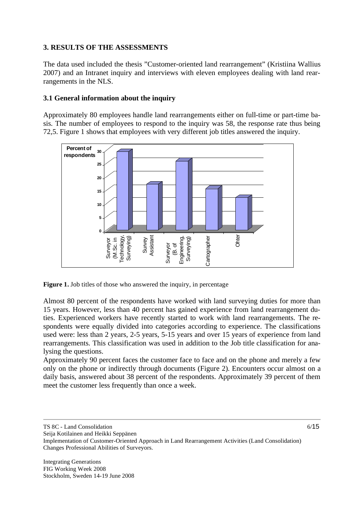#### **3. RESULTS OF THE ASSESSMENTS**

The data used included the thesis "Customer-oriented land rearrangement" (Kristiina Wallius 2007) and an Intranet inquiry and interviews with eleven employees dealing with land rearrangements in the NLS.

### **3.1 General information about the inquiry**

Approximately 80 employees handle land rearrangements either on full-time or part-time basis. The number of employees to respond to the inquiry was 58, the response rate thus being 72,5. Figure 1 shows that employees with very different job titles answered the inquiry.



**Figure 1.** Job titles of those who answered the inquiry, in percentage

Almost 80 percent of the respondents have worked with land surveying duties for more than 15 years. However, less than 40 percent has gained experience from land rearrangement duties. Experienced workers have recently started to work with land rearrangements. The respondents were equally divided into categories according to experience. The classifications used were: less than 2 years, 2-5 years, 5-15 years and over 15 years of experience from land rearrangements. This classification was used in addition to the Job title classification for analysing the questions.

Approximately 90 percent faces the customer face to face and on the phone and merely a few only on the phone or indirectly through documents (Figure 2). Encounters occur almost on a daily basis, answered about 38 percent of the respondents. Approximately 39 percent of them meet the customer less frequently than once a week.

TS 8C - Land Consolidation

Seija Kotilainen and Heikki Seppänen

Implementation of Customer-Oriented Approach in Land Rearrangement Activities (Land Consolidation) Changes Professional Abilities of Surveyors.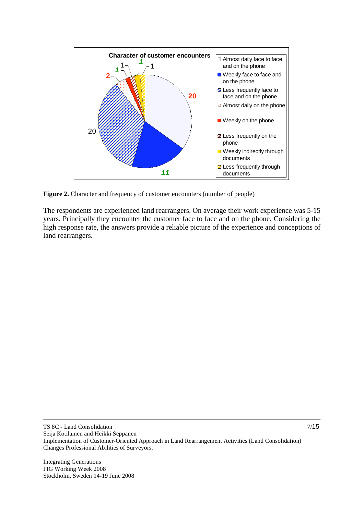

**Figure 2.** Character and frequency of customer encounters (number of people)

The respondents are experienced land rearrangers. On average their work experience was 5-15 years. Principally they encounter the customer face to face and on the phone. Considering the high response rate, the answers provide a reliable picture of the experience and conceptions of land rearrangers.

Integrating Generations FIG Working Week 2008 Stockholm, Sweden 14-19 June 2008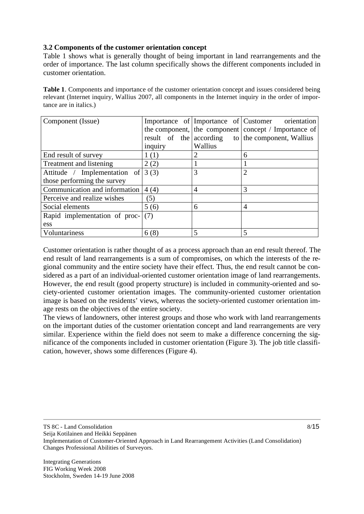#### **3.2 Components of the customer orientation concept**

Table 1 shows what is generally thought of being important in land rearrangements and the order of importance. The last column specifically shows the different components included in customer orientation.

**Table 1**. Components and importance of the customer orientation concept and issues considered being relevant (Internet inquiry, Wallius 2007, all components in the Internet inquiry in the order of importance are in italics.)

| Component (Issue)             |                         |         | Importance of Importance of Customer orientation     |
|-------------------------------|-------------------------|---------|------------------------------------------------------|
|                               |                         |         | the component, the component concept / Importance of |
|                               | result of the according |         | to the component, Wallius                            |
|                               | inquiry                 | Wallius |                                                      |
| End result of survey          | 1(1)                    | 2       | 6                                                    |
| Treatment and listening       | 2(2)                    |         |                                                      |
| Attitude / Implementation of  | 3(3)                    | 3       |                                                      |
| those performing the survey   |                         |         |                                                      |
| Communication and information | 4(4)                    | 4       | 3                                                    |
| Perceive and realize wishes   | (5)                     |         |                                                      |
| Social elements               | 5(6)                    | 6       | 4                                                    |
| Rapid implementation of proc- | (7)                     |         |                                                      |
| ess                           |                         |         |                                                      |
| Voluntariness                 | 6(8)                    |         |                                                      |

Customer orientation is rather thought of as a process approach than an end result thereof. The end result of land rearrangements is a sum of compromises, on which the interests of the regional community and the entire society have their effect. Thus, the end result cannot be considered as a part of an individual-oriented customer orientation image of land rearrangements. However, the end result (good property structure) is included in community-oriented and society-oriented customer orientation images. The community-oriented customer orientation image is based on the residents' views, whereas the society-oriented customer orientation image rests on the objectives of the entire society.

The views of landowners, other interest groups and those who work with land rearrangements on the important duties of the customer orientation concept and land rearrangements are very similar. Experience within the field does not seem to make a difference concerning the significance of the components included in customer orientation (Figure 3). The job title classification, however, shows some differences (Figure 4).

TS 8C - Land Consolidation

Seija Kotilainen and Heikki Seppänen

Implementation of Customer-Oriented Approach in Land Rearrangement Activities (Land Consolidation) Changes Professional Abilities of Surveyors.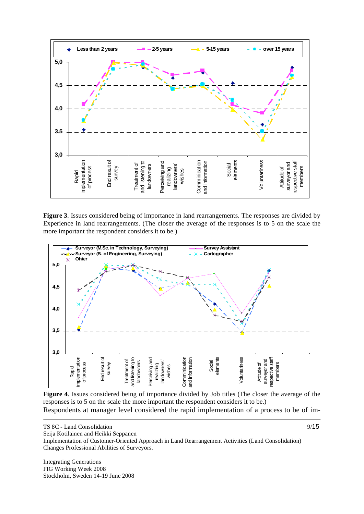

**Figure 3**. Issues considered being of importance in land rearrangements. The responses are divided by Experience in land rearrangements. (The closer the average of the responses is to 5 on the scale the more important the respondent considers it to be.)



**Figure 4**. Issues considered being of importance divided by Job titles (The closer the average of the responses is to 5 on the scale the more important the respondent considers it to be.) Respondents at manager level considered the rapid implementation of a process to be of im-

Seija Kotilainen and Heikki Seppänen

Implementation of Customer-Oriented Approach in Land Rearrangement Activities (Land Consolidation) Changes Professional Abilities of Surveyors.

Integrating Generations FIG Working Week 2008 Stockholm, Sweden 14-19 June 2008

TS 8C - Land Consolidation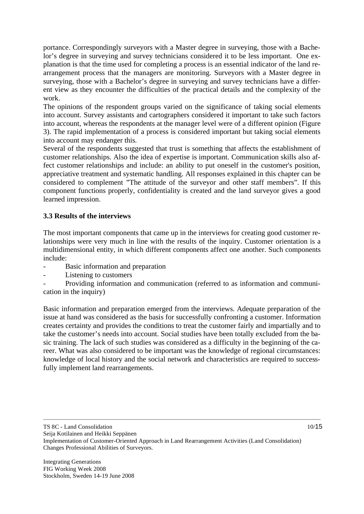portance. Correspondingly surveyors with a Master degree in surveying, those with a Bachelor's degree in surveying and survey technicians considered it to be less important. One explanation is that the time used for completing a process is an essential indicator of the land rearrangement process that the managers are monitoring. Surveyors with a Master degree in surveying, those with a Bachelor's degree in surveying and survey technicians have a different view as they encounter the difficulties of the practical details and the complexity of the work.

The opinions of the respondent groups varied on the significance of taking social elements into account. Survey assistants and cartographers considered it important to take such factors into account, whereas the respondents at the manager level were of a different opinion (Figure 3). The rapid implementation of a process is considered important but taking social elements into account may endanger this.

Several of the respondents suggested that trust is something that affects the establishment of customer relationships. Also the idea of expertise is important. Communication skills also affect customer relationships and include: an ability to put oneself in the customer's position, appreciative treatment and systematic handling. All responses explained in this chapter can be considered to complement "The attitude of the surveyor and other staff members". If this component functions properly, confidentiality is created and the land surveyor gives a good learned impression.

#### **3.3 Results of the interviews**

The most important components that came up in the interviews for creating good customer relationships were very much in line with the results of the inquiry. Customer orientation is a multidimensional entity, in which different components affect one another. Such components include:

- Basic information and preparation
- Listening to customers

Providing information and communication (referred to as information and communication in the inquiry)

Basic information and preparation emerged from the interviews. Adequate preparation of the issue at hand was considered as the basis for successfully confronting a customer. Information creates certainty and provides the conditions to treat the customer fairly and impartially and to take the customer's needs into account. Social studies have been totally excluded from the basic training. The lack of such studies was considered as a difficulty in the beginning of the career. What was also considered to be important was the knowledge of regional circumstances: knowledge of local history and the social network and characteristics are required to successfully implement land rearrangements.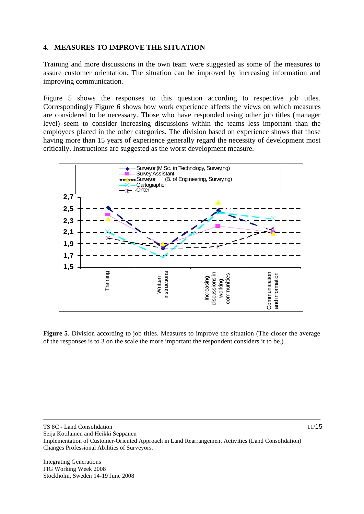#### **4. MEASURES TO IMPROVE THE SITUATION**

Training and more discussions in the own team were suggested as some of the measures to assure customer orientation. The situation can be improved by increasing information and improving communication.

Figure 5 shows the responses to this question according to respective job titles. Correspondingly Figure 6 shows how work experience affects the views on which measures are considered to be necessary. Those who have responded using other job titles (manager level) seem to consider increasing discussions within the teams less important than the employees placed in the other categories. The division based on experience shows that those having more than 15 years of experience generally regard the necessity of development most critically. Instructions are suggested as the worst development measure.



**Figure 5**. Division according to job titles. Measures to improve the situation (The closer the average of the responses is to 3 on the scale the more important the respondent considers it to be.)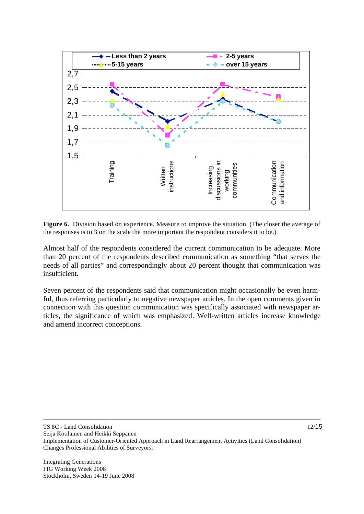

**Figure 6.** Division based on experience. Measure to improve the situation. (The closer the average of the responses is to 3 on the scale the more important the respondent considers it to be.)

Almost half of the respondents considered the current communication to be adequate. More than 20 percent of the respondents described communication as something "that serves the needs of all parties" and correspondingly about 20 percent thought that communication was insufficient.

Seven percent of the respondents said that communication might occasionally be even harmful, thus referring particularly to negative newspaper articles. In the open comments given in connection with this question communication was specifically associated with newspaper articles, the significance of which was emphasized. Well-written articles increase knowledge and amend incorrect conceptions.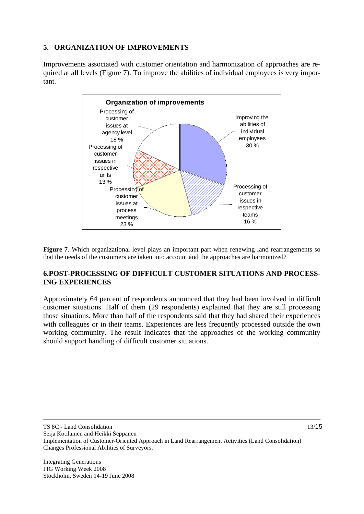#### **5. ORGANIZATION OF IMPROVEMENTS**

Improvements associated with customer orientation and harmonization of approaches are required at all levels (Figure 7). To improve the abilities of individual employees is very important.



**Figure 7**. Which organizational level plays an important part when renewing land rearrangements so that the needs of the customers are taken into account and the approaches are harmonized?

#### **6.POST-PROCESSING OF DIFFICULT CUSTOMER SITUATIONS AND PROCESS-ING EXPERIENCES**

Approximately 64 percent of respondents announced that they had been involved in difficult customer situations. Half of them (29 respondents) explained that they are still processing those situations. More than half of the respondents said that they had shared their experiences with colleagues or in their teams. Experiences are less frequently processed outside the own working community. The result indicates that the approaches of the working community should support handling of difficult customer situations.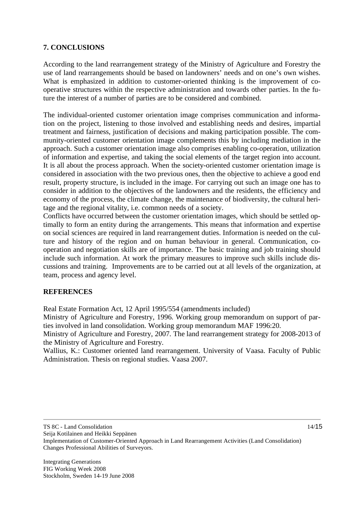### **7. CONCLUSIONS**

According to the land rearrangement strategy of the Ministry of Agriculture and Forestry the use of land rearrangements should be based on landowners' needs and on one's own wishes. What is emphasized in addition to customer-oriented thinking is the improvement of cooperative structures within the respective administration and towards other parties. In the future the interest of a number of parties are to be considered and combined.

The individual-oriented customer orientation image comprises communication and information on the project, listening to those involved and establishing needs and desires, impartial treatment and fairness, justification of decisions and making participation possible. The community-oriented customer orientation image complements this by including mediation in the approach. Such a customer orientation image also comprises enabling co-operation, utilization of information and expertise, and taking the social elements of the target region into account. It is all about the process approach. When the society-oriented customer orientation image is considered in association with the two previous ones, then the objective to achieve a good end result, property structure, is included in the image. For carrying out such an image one has to consider in addition to the objectives of the landowners and the residents, the efficiency and economy of the process, the climate change, the maintenance of biodiversity, the cultural heritage and the regional vitality, i.e. common needs of a society.

Conflicts have occurred between the customer orientation images, which should be settled optimally to form an entity during the arrangements. This means that information and expertise on social sciences are required in land rearrangement duties. Information is needed on the culture and history of the region and on human behaviour in general. Communication, cooperation and negotiation skills are of importance. The basic training and job training should include such information. At work the primary measures to improve such skills include discussions and training. Improvements are to be carried out at all levels of the organization, at team, process and agency level.

#### **REFERENCES**

Real Estate Formation Act, 12 April 1995/554 (amendments included)

Ministry of Agriculture and Forestry, 1996. Working group memorandum on support of parties involved in land consolidation. Working group memorandum MAF 1996:20.

Ministry of Agriculture and Forestry, 2007. The land rearrangement strategy for 2008-2013 of the Ministry of Agriculture and Forestry.

Wallius, K.: Customer oriented land rearrangement. University of Vaasa. Faculty of Public Administration. Thesis on regional studies. Vaasa 2007.

TS 8C - Land Consolidation

Seija Kotilainen and Heikki Seppänen

Implementation of Customer-Oriented Approach in Land Rearrangement Activities (Land Consolidation) Changes Professional Abilities of Surveyors.